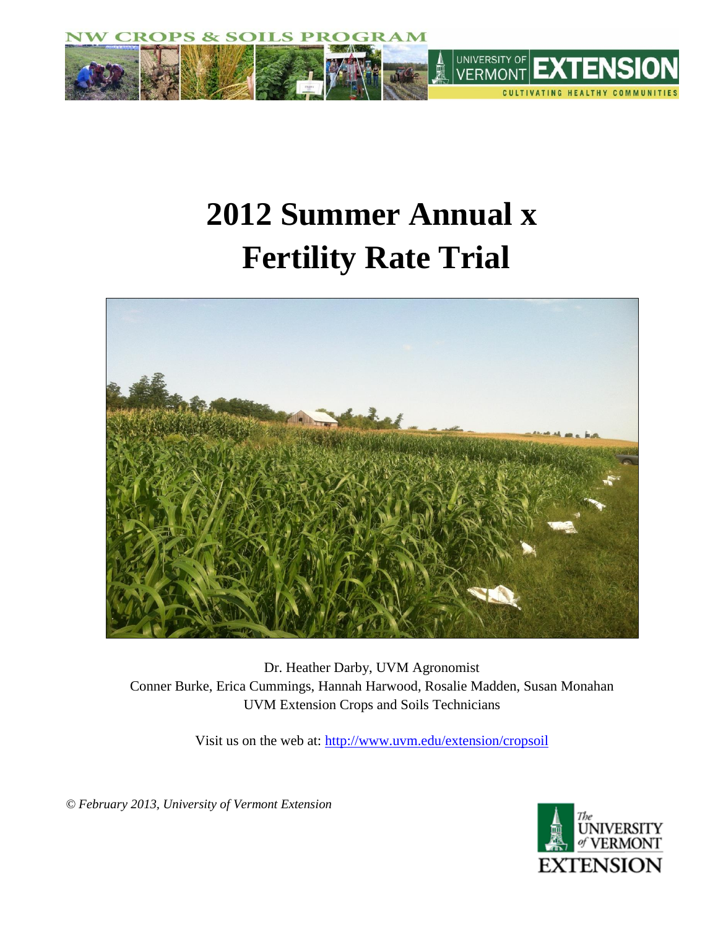

# **2012 Summer Annual x Fertility Rate Trial**



Dr. Heather Darby, UVM Agronomist Conner Burke, Erica Cummings, Hannah Harwood, Rosalie Madden, Susan Monahan UVM Extension Crops and Soils Technicians

Visit us on the web at:<http://www.uvm.edu/extension/cropsoil>

 *© February 2013, University of Vermont Extension*

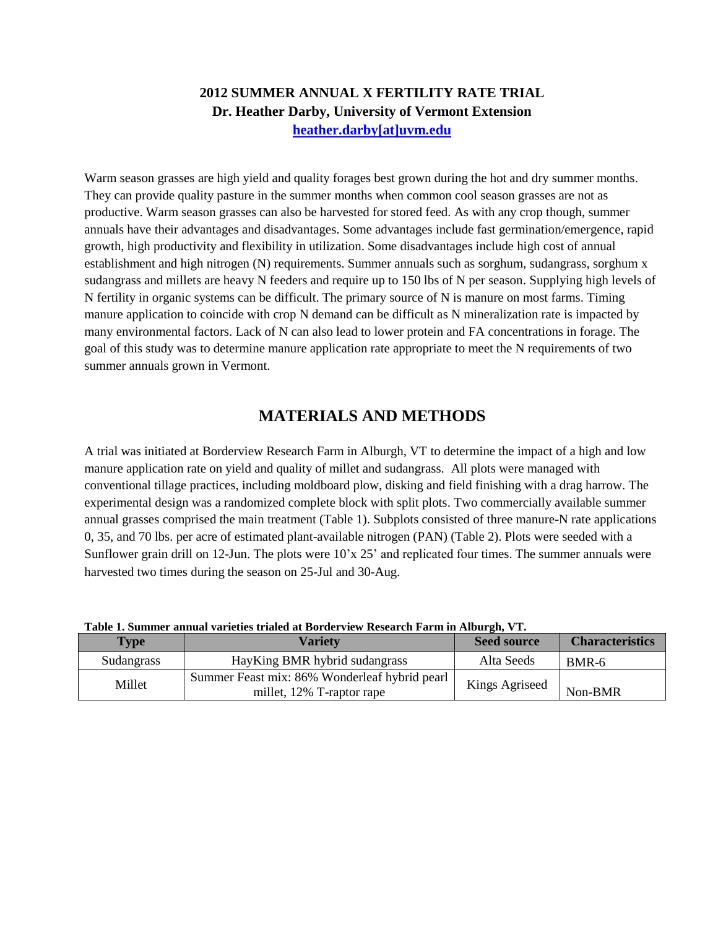## **2012 SUMMER ANNUAL X FERTILITY RATE TRIAL Dr. Heather Darby, University of Vermont Extension [heather.darby\[at\]uvm.edu](mailto:heather.darby@uvm.edu?subject=Winter%20Barley%20Variety%20Trial)**

Warm season grasses are high yield and quality forages best grown during the hot and dry summer months. They can provide quality pasture in the summer months when common cool season grasses are not as productive. Warm season grasses can also be harvested for stored feed. As with any crop though, summer annuals have their advantages and disadvantages. Some advantages include fast germination/emergence, rapid growth, high productivity and flexibility in utilization. Some disadvantages include high cost of annual establishment and high nitrogen (N) requirements. Summer annuals such as sorghum, sudangrass, sorghum x sudangrass and millets are heavy N feeders and require up to 150 lbs of N per season. Supplying high levels of N fertility in organic systems can be difficult. The primary source of N is manure on most farms. Timing manure application to coincide with crop N demand can be difficult as N mineralization rate is impacted by many environmental factors. Lack of N can also lead to lower protein and FA concentrations in forage. The goal of this study was to determine manure application rate appropriate to meet the N requirements of two summer annuals grown in Vermont.

## **MATERIALS AND METHODS**

A trial was initiated at Borderview Research Farm in Alburgh, VT to determine the impact of a high and low manure application rate on yield and quality of millet and sudangrass. All plots were managed with conventional tillage practices, including moldboard plow, disking and field finishing with a drag harrow. The experimental design was a randomized complete block with split plots. Two commercially available summer annual grasses comprised the main treatment (Table 1). Subplots consisted of three manure-N rate applications 0, 35, and 70 lbs. per acre of estimated plant-available nitrogen (PAN) (Table 2). Plots were seeded with a Sunflower grain drill on 12-Jun. The plots were 10'x 25' and replicated four times. The summer annuals were harvested two times during the season on 25-Jul and 30-Aug.

| <b>Type</b> | Varietv                                       | <b>Seed source</b> | <b>Characteristics</b> |
|-------------|-----------------------------------------------|--------------------|------------------------|
| Sudangrass  | HayKing BMR hybrid sudangrass                 | Alta Seeds         | BMR-6                  |
| Millet      | Summer Feast mix: 86% Wonderleaf hybrid pearl | Kings Agriseed     |                        |
|             | millet, 12% T-raptor rape                     |                    | Non-BMR                |

**Table 1. Summer annual varieties trialed at Borderview Research Farm in Alburgh, VT.**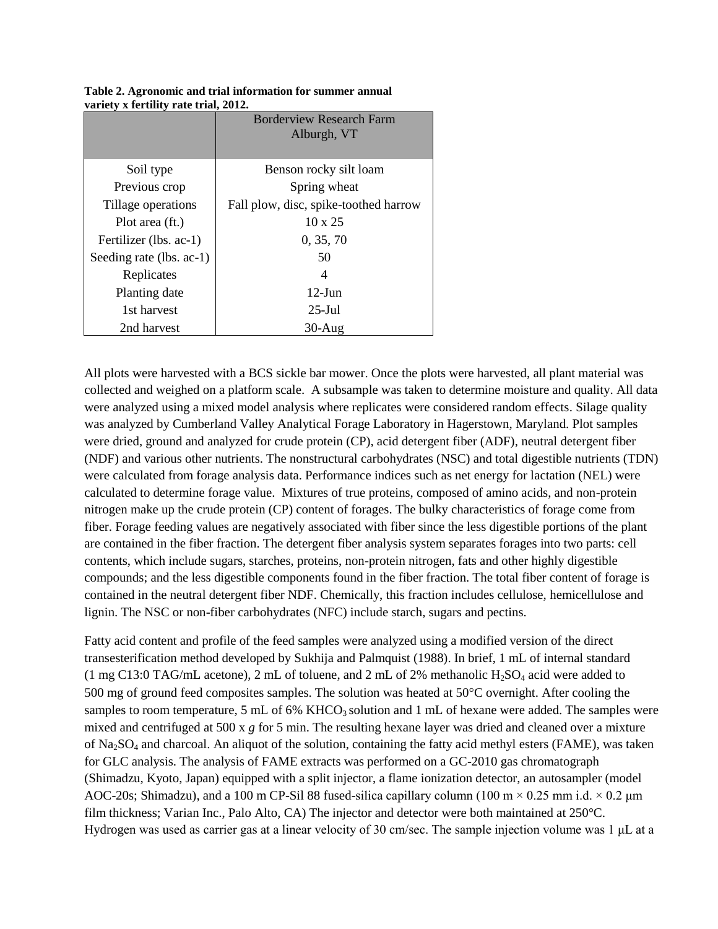|                          | <b>Borderview Research Farm</b><br>Alburgh, VT |
|--------------------------|------------------------------------------------|
| Soil type                | Benson rocky silt loam                         |
| Previous crop            | Spring wheat                                   |
| Tillage operations       | Fall plow, disc, spike-toothed harrow          |
| Plot area (ft.)          | $10 \times 25$                                 |
| Fertilizer (lbs. ac-1)   | 0, 35, 70                                      |
| Seeding rate (lbs. ac-1) | 50                                             |
| Replicates               | 4                                              |
| Planting date            | $12$ -Jun                                      |
| 1st harvest              | $25$ -Jul                                      |
| 2nd harvest              | $30-Au$ g                                      |

**Table 2. Agronomic and trial information for summer annual variety x fertility rate trial, 2012.**

All plots were harvested with a BCS sickle bar mower. Once the plots were harvested, all plant material was collected and weighed on a platform scale. A subsample was taken to determine moisture and quality. All data were analyzed using a mixed model analysis where replicates were considered random effects. Silage quality was analyzed by Cumberland Valley Analytical Forage Laboratory in Hagerstown, Maryland. Plot samples were dried, ground and analyzed for crude protein (CP), acid detergent fiber (ADF), neutral detergent fiber (NDF) and various other nutrients. The nonstructural carbohydrates (NSC) and total digestible nutrients (TDN) were calculated from forage analysis data. Performance indices such as net energy for lactation (NEL) were calculated to determine forage value. Mixtures of true proteins, composed of amino acids, and non-protein nitrogen make up the crude protein (CP) content of forages. The bulky characteristics of forage come from fiber. Forage feeding values are negatively associated with fiber since the less digestible portions of the plant are contained in the fiber fraction. The detergent fiber analysis system separates forages into two parts: cell contents, which include sugars, starches, proteins, non-protein nitrogen, fats and other highly digestible compounds; and the less digestible components found in the fiber fraction. The total fiber content of forage is contained in the neutral detergent fiber NDF. Chemically, this fraction includes cellulose, hemicellulose and lignin. The NSC or non-fiber carbohydrates (NFC) include starch, sugars and pectins.

Fatty acid content and profile of the feed samples were analyzed using a modified version of the direct transesterification method developed by Sukhija and Palmquist (1988). In brief, 1 mL of internal standard (1 mg C13:0 TAG/mL acetone), 2 mL of toluene, and 2 mL of 2% methanolic  $H_2SO_4$  acid were added to 500 mg of ground feed composites samples. The solution was heated at  $50^{\circ}$ C overnight. After cooling the samples to room temperature, 5 mL of 6% KHCO<sub>3</sub> solution and 1 mL of hexane were added. The samples were mixed and centrifuged at 500 x *g* for 5 min. The resulting hexane layer was dried and cleaned over a mixture of Na2SO<sup>4</sup> and charcoal. An aliquot of the solution, containing the fatty acid methyl esters (FAME), was taken for GLC analysis. The analysis of FAME extracts was performed on a GC-2010 gas chromatograph (Shimadzu, Kyoto, Japan) equipped with a split injector, a flame ionization detector, an autosampler (model AOC-20s; Shimadzu), and a 100 m CP-Sil 88 fused-silica capillary column (100 m  $\times$  0.25 mm i.d.  $\times$  0.2 µm film thickness; Varian Inc., Palo Alto, CA) The injector and detector were both maintained at 250°C. Hydrogen was used as carrier gas at a linear velocity of 30 cm/sec. The sample injection volume was 1 μL at a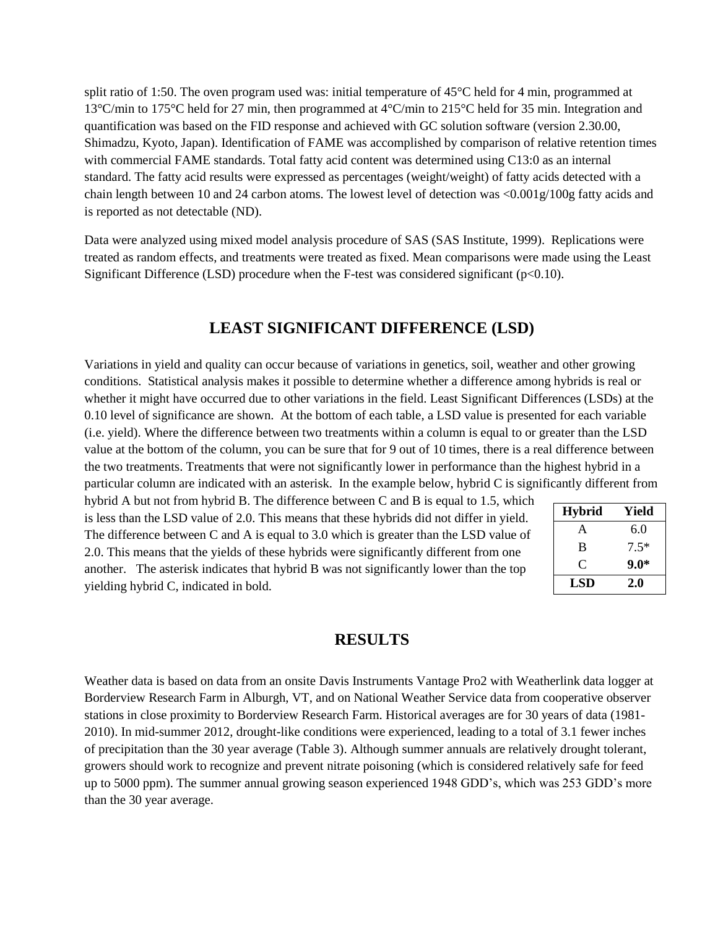split ratio of 1:50. The oven program used was: initial temperature of 45°C held for 4 min, programmed at 13°C/min to 175°C held for 27 min, then programmed at 4°C/min to 215°C held for 35 min. Integration and quantification was based on the FID response and achieved with GC solution software (version 2.30.00, Shimadzu, Kyoto, Japan). Identification of FAME was accomplished by comparison of relative retention times with commercial FAME standards. Total fatty acid content was determined using C13:0 as an internal standard. The fatty acid results were expressed as percentages (weight/weight) of fatty acids detected with a chain length between 10 and 24 carbon atoms. The lowest level of detection was  $\langle 0.001 \text{g}/100 \text{g}$  fatty acids and is reported as not detectable (ND).

Data were analyzed using mixed model analysis procedure of SAS (SAS Institute, 1999). Replications were treated as random effects, and treatments were treated as fixed. Mean comparisons were made using the Least Significant Difference (LSD) procedure when the F-test was considered significant ( $p<0.10$ ).

## **LEAST SIGNIFICANT DIFFERENCE (LSD)**

Variations in yield and quality can occur because of variations in genetics, soil, weather and other growing conditions. Statistical analysis makes it possible to determine whether a difference among hybrids is real or whether it might have occurred due to other variations in the field. Least Significant Differences (LSDs) at the 0.10 level of significance are shown. At the bottom of each table, a LSD value is presented for each variable (i.e. yield). Where the difference between two treatments within a column is equal to or greater than the LSD value at the bottom of the column, you can be sure that for 9 out of 10 times, there is a real difference between the two treatments. Treatments that were not significantly lower in performance than the highest hybrid in a particular column are indicated with an asterisk. In the example below, hybrid C is significantly different from

hybrid A but not from hybrid B. The difference between C and B is equal to 1.5, which is less than the LSD value of 2.0. This means that these hybrids did not differ in yield. The difference between C and A is equal to 3.0 which is greater than the LSD value of 2.0. This means that the yields of these hybrids were significantly different from one another. The asterisk indicates that hybrid B was not significantly lower than the top yielding hybrid C, indicated in bold.

| <b>Hybrid</b> | Yield  |
|---------------|--------|
| A             | 6.0    |
| B             | $7.5*$ |
| C             | $9.0*$ |
| LSD           | 2.0    |

### **RESULTS**

Weather data is based on data from an onsite Davis Instruments Vantage Pro2 with Weatherlink data logger at Borderview Research Farm in Alburgh, VT, and on National Weather Service data from cooperative observer stations in close proximity to Borderview Research Farm. Historical averages are for 30 years of data (1981- 2010). In mid-summer 2012, drought-like conditions were experienced, leading to a total of 3.1 fewer inches of precipitation than the 30 year average (Table 3). Although summer annuals are relatively drought tolerant, growers should work to recognize and prevent nitrate poisoning (which is considered relatively safe for feed up to 5000 ppm). The summer annual growing season experienced 1948 GDD's, which was 253 GDD's more than the 30 year average.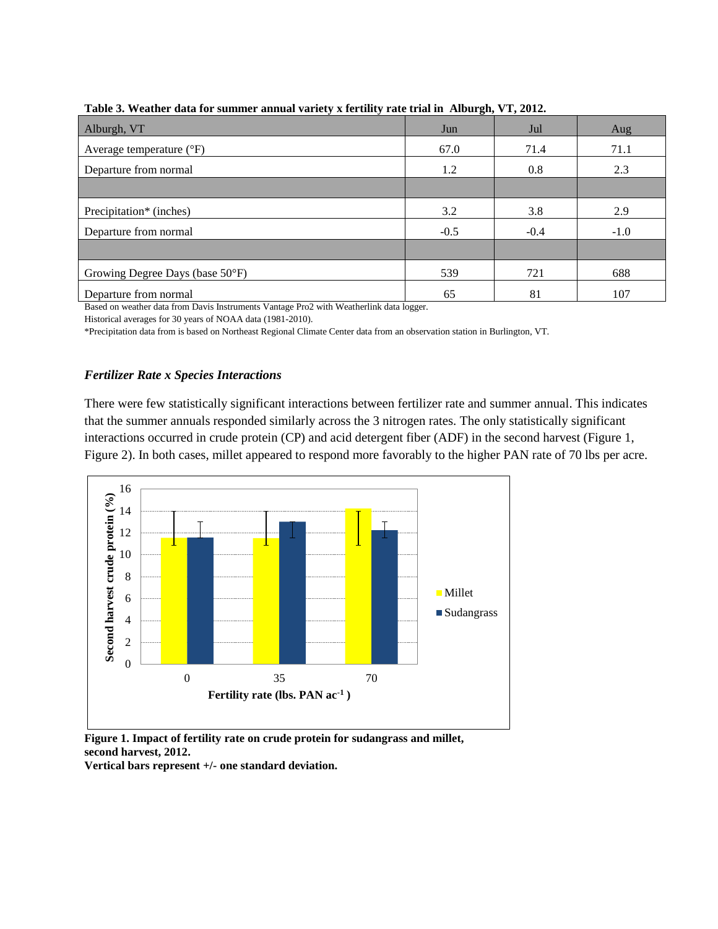| 1 après de 11 cantre sans loi dummer ammane (aller) A fel ann, l'anc cliat in Thibal sin, 1 1, 2012. |        |        |        |  |  |  |  |  |  |  |  |
|------------------------------------------------------------------------------------------------------|--------|--------|--------|--|--|--|--|--|--|--|--|
| Alburgh, VT                                                                                          | Jun    | Jul    | Aug    |  |  |  |  |  |  |  |  |
| Average temperature $(^{\circ}F)$                                                                    | 67.0   | 71.4   | 71.1   |  |  |  |  |  |  |  |  |
| Departure from normal                                                                                | 1.2    | 0.8    | 2.3    |  |  |  |  |  |  |  |  |
|                                                                                                      |        |        |        |  |  |  |  |  |  |  |  |
| Precipitation* (inches)                                                                              | 3.2    | 3.8    | 2.9    |  |  |  |  |  |  |  |  |
| Departure from normal                                                                                | $-0.5$ | $-0.4$ | $-1.0$ |  |  |  |  |  |  |  |  |
|                                                                                                      |        |        |        |  |  |  |  |  |  |  |  |
| Growing Degree Days (base 50°F)                                                                      | 539    | 721    | 688    |  |  |  |  |  |  |  |  |
| Departure from normal                                                                                | 65     | 81     | 107    |  |  |  |  |  |  |  |  |

**Table 3. Weather data for summer annual variety x fertility rate trial in Alburgh, VT, 2012.**

Based on weather data from Davis Instruments Vantage Pro2 with Weatherlink data logger.

Historical averages for 30 years of NOAA data (1981-2010).

\*Precipitation data from is based on Northeast Regional Climate Center data from an observation station in Burlington, VT.

#### *Fertilizer Rate x Species Interactions*

There were few statistically significant interactions between fertilizer rate and summer annual. This indicates that the summer annuals responded similarly across the 3 nitrogen rates. The only statistically significant interactions occurred in crude protein (CP) and acid detergent fiber (ADF) in the second harvest (Figure 1, Figure 2). In both cases, millet appeared to respond more favorably to the higher PAN rate of 70 lbs per acre.



**Figure 1. Impact of fertility rate on crude protein for sudangrass and millet, second harvest, 2012.**

**Vertical bars represent +/- one standard deviation.**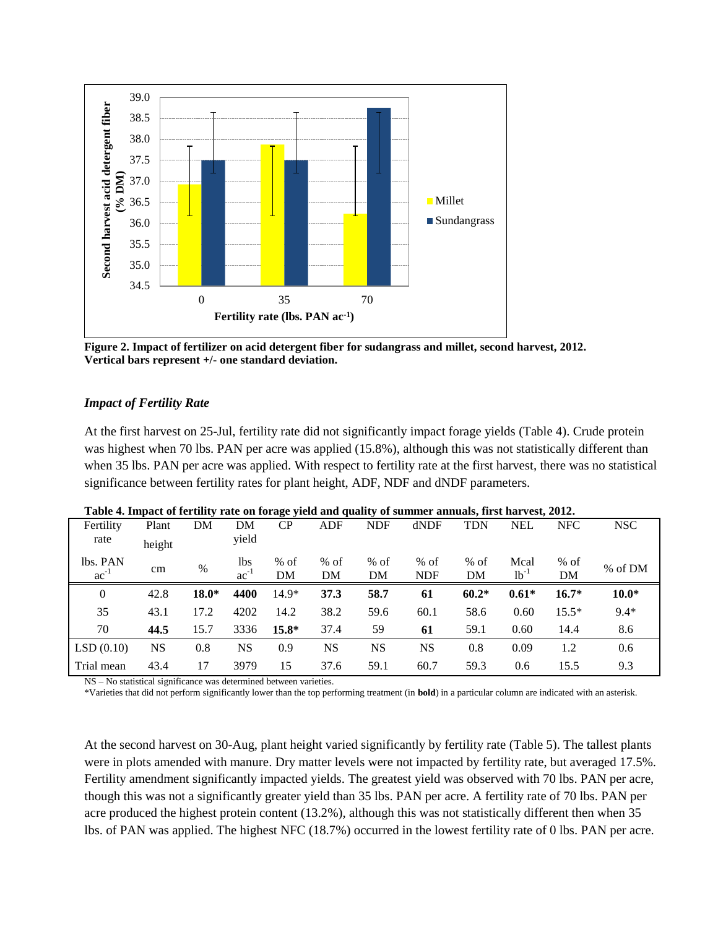

**Figure 2. Impact of fertilizer on acid detergent fiber for sudangrass and millet, second harvest, 2012. Vertical bars represent +/- one standard deviation.**

#### *Impact of Fertility Rate*

At the first harvest on 25-Jul, fertility rate did not significantly impact forage yields (Table 4). Crude protein was highest when 70 lbs. PAN per acre was applied (15.8%), although this was not statistically different than when 35 lbs. PAN per acre was applied. With respect to fertility rate at the first harvest, there was no statistical significance between fertility rates for plant height, ADF, NDF and dNDF parameters.

|                |        |         |           |         |            |            | Table 4. Impact of ict anty Tate on forage yield and quanty of summer annuals, this har vest, 2012. |            |            |            |            |
|----------------|--------|---------|-----------|---------|------------|------------|-----------------------------------------------------------------------------------------------------|------------|------------|------------|------------|
| Fertility      | Plant  | DM      | DM        | CP      | <b>ADF</b> | <b>NDF</b> | dNDF                                                                                                | <b>TDN</b> | <b>NEL</b> | <b>NFC</b> | <b>NSC</b> |
| rate           | height |         | yield     |         |            |            |                                                                                                     |            |            |            |            |
| lbs. PAN       | cm     | $\%$    | lbs       | $%$ of  | $%$ of     | $%$ of     | $%$ of                                                                                              | $%$ of     | Mcal       | $%$ of     | % of DM    |
| $ac^{-1}$      |        |         | $ac^{-1}$ | DM      | DM         | DM         | <b>NDF</b>                                                                                          | DM         | $1-1$      | DM         |            |
| $\overline{0}$ | 42.8   | $18.0*$ | 4400      | $14.9*$ | 37.3       | 58.7       | 61                                                                                                  | $60.2*$    | $0.61*$    | $16.7*$    | $10.0*$    |
| 35             | 43.1   | 17.2    | 4202      | 14.2    | 38.2       | 59.6       | 60.1                                                                                                | 58.6       | 0.60       | $15.5*$    | $9.4*$     |
| 70             | 44.5   | 15.7    | 3336      | $15.8*$ | 37.4       | 59         | 61                                                                                                  | 59.1       | 0.60       | 14.4       | 8.6        |
| LSD(0.10)      | NS     | 0.8     | <b>NS</b> | 0.9     | <b>NS</b>  | <b>NS</b>  | NS                                                                                                  | 0.8        | 0.09       | 1.2        | 0.6        |
| Trial mean     | 43.4   | 17      | 3979      | 15      | 37.6       | 59.1       | 60.7                                                                                                | 59.3       | 0.6        | 15.5       | 9.3        |

**Table 4. Impact of fertility rate on forage yield and quality of summer annuals, first harvest, 2012.**

NS – No statistical significance was determined between varieties.

\*Varieties that did not perform significantly lower than the top performing treatment (in **bold**) in a particular column are indicated with an asterisk.

At the second harvest on 30-Aug, plant height varied significantly by fertility rate (Table 5). The tallest plants were in plots amended with manure. Dry matter levels were not impacted by fertility rate, but averaged 17.5%. Fertility amendment significantly impacted yields. The greatest yield was observed with 70 lbs. PAN per acre, though this was not a significantly greater yield than 35 lbs. PAN per acre. A fertility rate of 70 lbs. PAN per acre produced the highest protein content (13.2%), although this was not statistically different then when 35 lbs. of PAN was applied. The highest NFC (18.7%) occurred in the lowest fertility rate of 0 lbs. PAN per acre.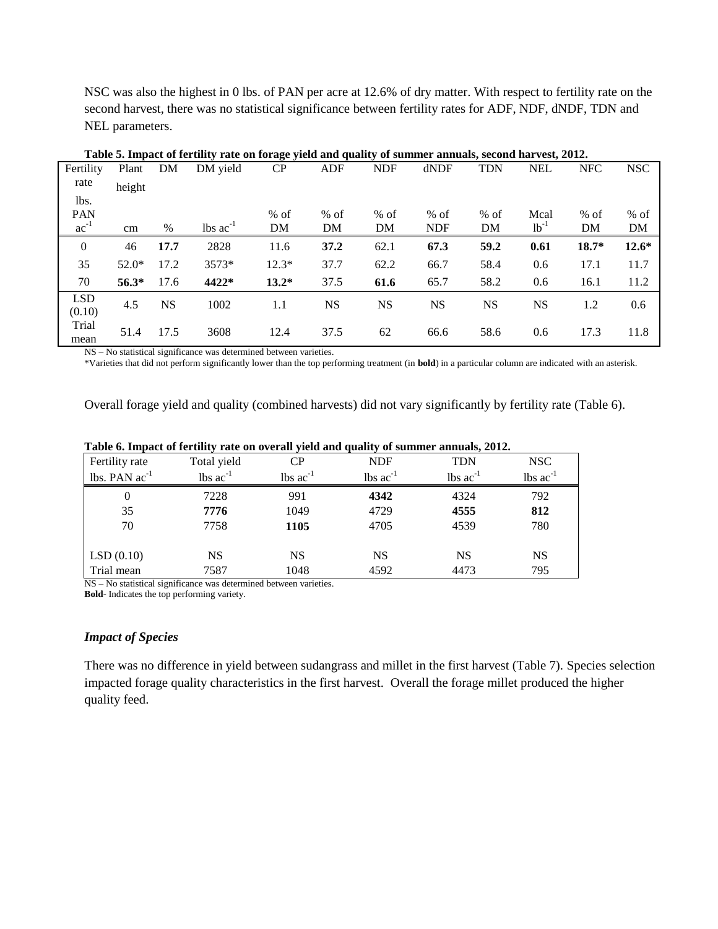NSC was also the highest in 0 lbs. of PAN per acre at 12.6% of dry matter. With respect to fertility rate on the second harvest, there was no statistical significance between fertility rates for ADF, NDF, dNDF, TDN and NEL parameters.

|                      |         |           |                               | <u> ⊖ ັ</u> |            |            |            |            |            |            |            |
|----------------------|---------|-----------|-------------------------------|-------------|------------|------------|------------|------------|------------|------------|------------|
| Fertility            | Plant   | DM        | DM yield                      | CP          | <b>ADF</b> | <b>NDF</b> | dNDF       | <b>TDN</b> | <b>NEL</b> | <b>NFC</b> | <b>NSC</b> |
| rate                 | height  |           |                               |             |            |            |            |            |            |            |            |
| lbs.                 |         |           |                               |             |            |            |            |            |            |            |            |
| PAN                  |         |           |                               | $%$ of      | $%$ of     | % of       | $%$ of     | $%$ of     | Mcal       | $%$ of     | $%$ of     |
| $ac^{-1}$            | cm      | $\%$      | $\text{lbs}$ ac <sup>-1</sup> | DM          | DM         | DM         | <b>NDF</b> | DM         | $1b^{-1}$  | DM         | <b>DM</b>  |
| $\boldsymbol{0}$     | 46      | 17.7      | 2828                          | 11.6        | 37.2       | 62.1       | 67.3       | 59.2       | 0.61       | 18.7*      | $12.6*$    |
| 35                   | $52.0*$ | 17.2      | 3573*                         | $12.3*$     | 37.7       | 62.2       | 66.7       | 58.4       | 0.6        | 17.1       | 11.7       |
| 70                   | $56.3*$ | 17.6      | 4422*                         | $13.2*$     | 37.5       | 61.6       | 65.7       | 58.2       | 0.6        | 16.1       | 11.2       |
| <b>LSD</b><br>(0.10) | 4.5     | <b>NS</b> | 1002                          | 1.1         | <b>NS</b>  | <b>NS</b>  | <b>NS</b>  | <b>NS</b>  | <b>NS</b>  | 1.2        | 0.6        |
| Trial<br>mean        | 51.4    | 17.5      | 3608                          | 12.4        | 37.5       | 62         | 66.6       | 58.6       | 0.6        | 17.3       | 11.8       |

**Table 5. Impact of fertility rate on forage yield and quality of summer annuals, second harvest, 2012.**

NS – No statistical significance was determined between varieties.

\*Varieties that did not perform significantly lower than the top performing treatment (in **bold**) in a particular column are indicated with an asterisk.

Overall forage yield and quality (combined harvests) did not vary significantly by fertility rate (Table 6).

|                    | Tuble of hippier of ierumly rule on overun yield and quality of building annually so fs. |                               |                               |                               |                               |  |  |  |  |  |  |  |
|--------------------|------------------------------------------------------------------------------------------|-------------------------------|-------------------------------|-------------------------------|-------------------------------|--|--|--|--|--|--|--|
| Fertility rate     | Total yield                                                                              | CР                            | <b>NDF</b>                    | TDN                           | NSC                           |  |  |  |  |  |  |  |
| lbs. PAN $ac^{-1}$ | $\text{lbs}$ ac <sup>-1</sup>                                                            | $\text{lbs}$ ac <sup>-1</sup> | $\text{lbs}$ ac <sup>-1</sup> | $\text{lbs}$ ac <sup>-1</sup> | $\text{lbs}$ ac <sup>-1</sup> |  |  |  |  |  |  |  |
| $\theta$           | 7228                                                                                     | 991                           | 4342                          | 4324                          | 792                           |  |  |  |  |  |  |  |
| 35                 | 7776                                                                                     | 1049                          | 4729                          | 4555                          | 812                           |  |  |  |  |  |  |  |
| 70                 | 7758                                                                                     | 1105                          | 4705                          | 4539                          | 780                           |  |  |  |  |  |  |  |
|                    |                                                                                          |                               |                               |                               |                               |  |  |  |  |  |  |  |
| LSD(0.10)          | NS                                                                                       | <b>NS</b>                     | <b>NS</b>                     | <b>NS</b>                     | NS                            |  |  |  |  |  |  |  |
| Trial mean         | 7587                                                                                     | 1048                          | 4592                          | 4473                          | 795                           |  |  |  |  |  |  |  |

**Table 6. Impact of fertility rate on overall yield and quality of summer annuals, 2012.**

NS – No statistical significance was determined between varieties. **Bold**- Indicates the top performing variety.

#### *Impact of Species*

There was no difference in yield between sudangrass and millet in the first harvest (Table 7). Species selection impacted forage quality characteristics in the first harvest. Overall the forage millet produced the higher quality feed.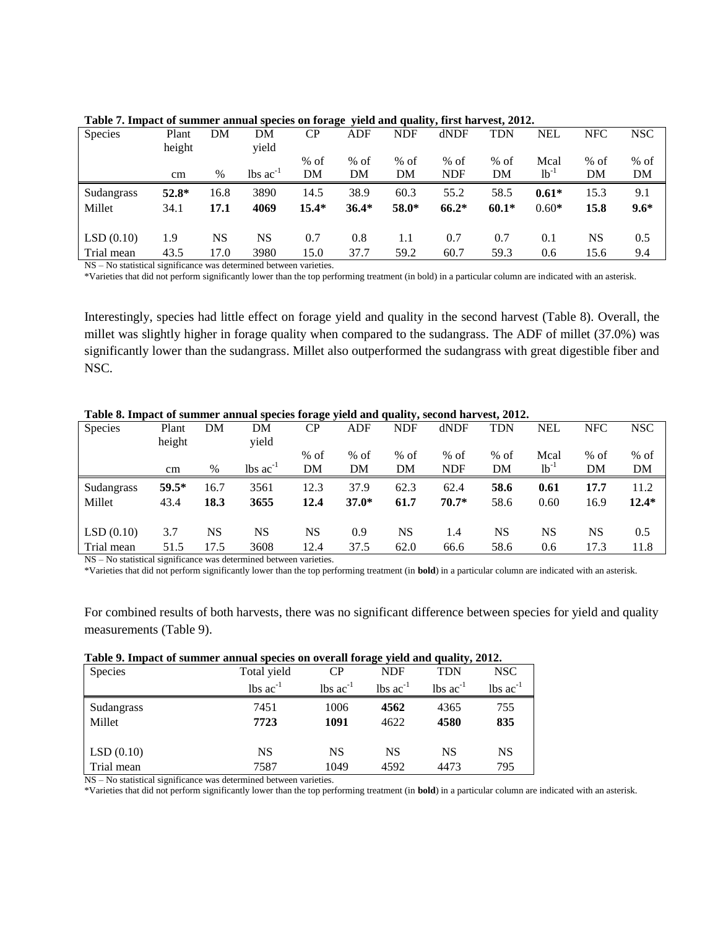| Species    | Plant<br>height | DM   | DΜ<br>vield            | CP           | <b>ADF</b>   | <b>NDF</b>   | dNDF                 | TDN          | <b>NEL</b>    | <b>NFC</b>   | <b>NSC</b>   |
|------------|-----------------|------|------------------------|--------------|--------------|--------------|----------------------|--------------|---------------|--------------|--------------|
|            | cm              | $\%$ | $lbs$ ac <sup>-1</sup> | $%$ of<br>DM | $%$ of<br>DΜ | $%$ of<br>DM | $%$ of<br><b>NDF</b> | $%$ of<br>DM | Mcal<br>$1-1$ | $%$ of<br>DΜ | $%$ of<br>DM |
|            |                 |      |                        |              |              |              |                      |              |               |              |              |
| Sudangrass | $52.8*$         | 16.8 | 3890                   | 14.5         | 38.9         | 60.3         | 55.2                 | 58.5         | $0.61*$       | 15.3         | 9.1          |
| Millet     | 34.1            | 17.1 | 4069                   | $15.4*$      | $36.4*$      | $58.0*$      | $66.2*$              | $60.1*$      | $0.60*$       | 15.8         | $9.6*$       |
| LSD(0.10)  | 1.9             | NS   | NS                     | 0.7          | 0.8          | 1.1          | 0.7                  | 0.7          | 0.1           | NS           | 0.5          |
| Trial mean | 43.5            | 17.0 | 3980                   | 15.0         | 37.7         | 59.2         | 60.7                 | 59.3         | 0.6           | 15.6         | 9.4          |

|  | Table 7. Impact of summer annual species on forage yield and quality, first harvest, 2012. |  |  |  |
|--|--------------------------------------------------------------------------------------------|--|--|--|
|  |                                                                                            |  |  |  |

NS – No statistical significance was determined between varieties.

\*Varieties that did not perform significantly lower than the top performing treatment (in bold) in a particular column are indicated with an asterisk.

Interestingly, species had little effect on forage yield and quality in the second harvest (Table 8). Overall, the millet was slightly higher in forage quality when compared to the sudangrass. The ADF of millet (37.0%) was significantly lower than the sudangrass. Millet also outperformed the sudangrass with great digestible fiber and NSC.

| Twore or impute of building unifour species forum $\frac{1}{2}$ and uniformly second har rest, 2012. |          |           |                               |           |         |            |            |            |            |            |            |
|------------------------------------------------------------------------------------------------------|----------|-----------|-------------------------------|-----------|---------|------------|------------|------------|------------|------------|------------|
| Species                                                                                              | Plant    | DM        | DΜ                            | <b>CP</b> | ADF     | <b>NDF</b> | dNDF       | <b>TDN</b> | <b>NEL</b> | <b>NFC</b> | <b>NSC</b> |
|                                                                                                      | height   |           | yield                         |           |         |            |            |            |            |            |            |
|                                                                                                      |          |           |                               | $%$ of    | $%$ of  | $%$ of     | $%$ of     | $%$ of     | Mcal       | $%$ of     | $%$ of     |
|                                                                                                      | $\rm cm$ | $\%$      | $\text{lbs}$ ac <sup>-1</sup> | DM        | DΜ      | DΜ         | <b>NDF</b> | DM         | $1b^{-1}$  | DΜ         | DM         |
| Sudangrass                                                                                           | $59.5*$  | 16.7      | 3561                          | 12.3      | 37.9    | 62.3       | 62.4       | 58.6       | 0.61       | 17.7       | 11.2       |
| Millet                                                                                               | 43.4     | 18.3      | 3655                          | 12.4      | $37.0*$ | 61.7       | $70.7*$    | 58.6       | 0.60       | 16.9       | $12.4*$    |
|                                                                                                      |          |           |                               |           |         |            |            |            |            |            |            |
| LSD(0.10)                                                                                            | 3.7      | <b>NS</b> | <b>NS</b>                     | NS        | 0.9     | NS         | 1.4        | <b>NS</b>  | NS         | NS         | 0.5        |
| Trial mean                                                                                           | 51.5     | 17.5      | 3608                          | 12.4      | 37.5    | 62.0       | 66.6       | 58.6       | 0.6        | 17.3       | 11.8       |
|                                                                                                      |          |           |                               |           |         |            |            |            |            |            |            |

**Table 8. Impact of summer annual species forage yield and quality, second harvest, 2012.**

NS – No statistical significance was determined between varieties.

\*Varieties that did not perform significantly lower than the top performing treatment (in **bold**) in a particular column are indicated with an asterisk.

For combined results of both harvests, there was no significant difference between species for yield and quality measurements (Table 9).

|  |  | Table 9. Impact of summer annual species on overall forage yield and quality, 2012. |  |  |
|--|--|-------------------------------------------------------------------------------------|--|--|
|  |  |                                                                                     |  |  |

| Species    | Total yield                   | CP                     | NDF                           | TDN                           | <b>NSC</b>                    |
|------------|-------------------------------|------------------------|-------------------------------|-------------------------------|-------------------------------|
|            | $\text{lbs}$ ac <sup>-1</sup> | $lbs$ ac <sup>-1</sup> | $\text{lbs}$ ac <sup>-1</sup> | $\text{lbs}$ ac <sup>-1</sup> | $\text{lbs}$ ac <sup>-1</sup> |
| Sudangrass | 7451                          | 1006                   | 4562                          | 4365                          | 755                           |
| Millet     | 7723                          | 1091                   | 4622                          | 4580                          | 835                           |
|            |                               |                        |                               |                               |                               |
| LSD(0.10)  | NS                            | NS                     | NS                            | NS                            | NS                            |
| Trial mean | 7587                          | 1049                   | 4592                          | 4473                          | 795                           |

NS – No statistical significance was determined between varieties.

\*Varieties that did not perform significantly lower than the top performing treatment (in **bold**) in a particular column are indicated with an asterisk.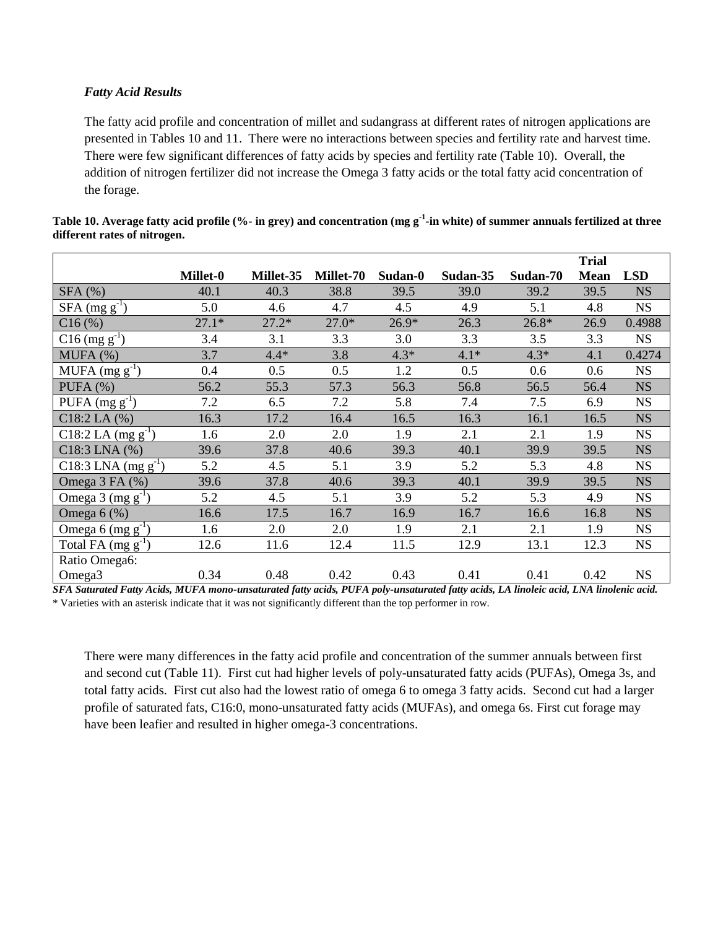#### *Fatty Acid Results*

The fatty acid profile and concentration of millet and sudangrass at different rates of nitrogen applications are presented in Tables 10 and 11. There were no interactions between species and fertility rate and harvest time. There were few significant differences of fatty acids by species and fertility rate (Table 10). Overall, the addition of nitrogen fertilizer did not increase the Omega 3 fatty acids or the total fatty acid concentration of the forage.

|                                              |          |           |           |         |          |          | <b>Trial</b> |            |
|----------------------------------------------|----------|-----------|-----------|---------|----------|----------|--------------|------------|
|                                              | Millet-0 | Millet-35 | Millet-70 | Sudan-0 | Sudan-35 | Sudan-70 | <b>Mean</b>  | <b>LSD</b> |
| SFA(%)                                       | 40.1     | 40.3      | 38.8      | 39.5    | 39.0     | 39.2     | 39.5         | <b>NS</b>  |
| $SFA$ (mg $g^{-1}$ )                         | 5.0      | 4.6       | 4.7       | 4.5     | 4.9      | 5.1      | 4.8          | <b>NS</b>  |
| C16(%)                                       | $27.1*$  | $27.2*$   | $27.0*$   | $26.9*$ | 26.3     | 26.8*    | 26.9         | 0.4988     |
| $C16$ (mg g <sup>-1</sup> )                  | 3.4      | 3.1       | 3.3       | 3.0     | 3.3      | 3.5      | 3.3          | <b>NS</b>  |
| MUFA (%)                                     | 3.7      | $4.4*$    | 3.8       | $4.3*$  | $4.1*$   | $4.3*$   | 4.1          | 0.4274     |
| MUFA $(mg g^{-1})$                           | 0.4      | 0.5       | 0.5       | 1.2     | 0.5      | 0.6      | 0.6          | <b>NS</b>  |
| PUFA $(%)$                                   | 56.2     | 55.3      | 57.3      | 56.3    | 56.8     | 56.5     | 56.4         | <b>NS</b>  |
| PUFA $(mg g^{-1})$                           | 7.2      | 6.5       | 7.2       | 5.8     | 7.4      | 7.5      | 6.9          | <b>NS</b>  |
| $C18:2$ LA $(%)$                             | 16.3     | 17.2      | 16.4      | 16.5    | 16.3     | 16.1     | 16.5         | <b>NS</b>  |
| C18:2 LA $(mg g^{-1})$                       | 1.6      | 2.0       | 2.0       | 1.9     | 2.1      | 2.1      | 1.9          | <b>NS</b>  |
| $C18:3$ LNA $(%)$                            | 39.6     | 37.8      | 40.6      | 39.3    | 40.1     | 39.9     | 39.5         | <b>NS</b>  |
| $\overline{C}18:3$ LNA (mg g <sup>-1</sup> ) | 5.2      | 4.5       | 5.1       | 3.9     | 5.2      | 5.3      | 4.8          | <b>NS</b>  |
| Omega 3 FA (%)                               | 39.6     | 37.8      | 40.6      | 39.3    | 40.1     | 39.9     | 39.5         | <b>NS</b>  |
| Omega $3 \text{ (mg g}^{-1})$                | 5.2      | 4.5       | 5.1       | 3.9     | 5.2      | 5.3      | 4.9          | <b>NS</b>  |
| Omega $6$ (%)                                | 16.6     | 17.5      | 16.7      | 16.9    | 16.7     | 16.6     | 16.8         | <b>NS</b>  |
| Omega 6 $(mg g^{-1})$                        | 1.6      | 2.0       | 2.0       | 1.9     | 2.1      | 2.1      | 1.9          | <b>NS</b>  |
| Total FA $(mg g^{-1})$                       | 12.6     | 11.6      | 12.4      | 11.5    | 12.9     | 13.1     | 12.3         | <b>NS</b>  |
| Ratio Omega6:                                |          |           |           |         |          |          |              |            |
| Omega <sub>3</sub>                           | 0.34     | 0.48      | 0.42      | 0.43    | 0.41     | 0.41     | 0.42         | <b>NS</b>  |

**Table 10. Average fatty acid profile (%- in grey) and concentration (mg g-1 -in white) of summer annuals fertilized at three different rates of nitrogen.** 

*SFA Saturated Fatty Acids, MUFA mono-unsaturated fatty acids, PUFA poly-unsaturated fatty acids, LA linoleic acid, LNA linolenic acid.*  \* Varieties with an asterisk indicate that it was not significantly different than the top performer in row.

There were many differences in the fatty acid profile and concentration of the summer annuals between first and second cut (Table 11). First cut had higher levels of poly-unsaturated fatty acids (PUFAs), Omega 3s, and total fatty acids. First cut also had the lowest ratio of omega 6 to omega 3 fatty acids. Second cut had a larger profile of saturated fats, C16:0, mono-unsaturated fatty acids (MUFAs), and omega 6s. First cut forage may have been leafier and resulted in higher omega-3 concentrations.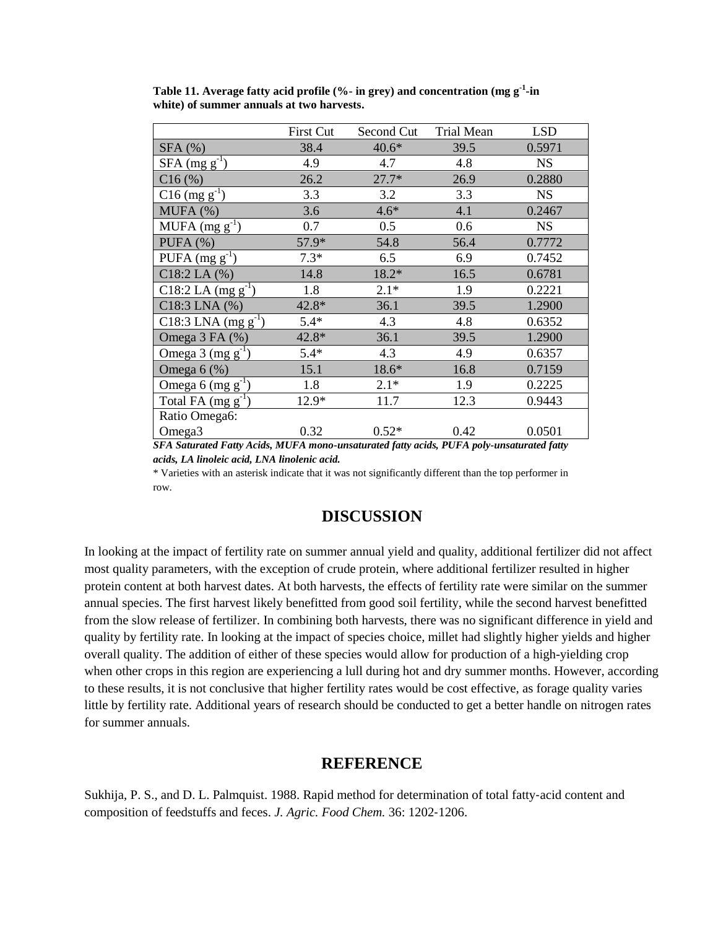| <b>First Cut</b> | Second Cut                                                                                                                        | <b>Trial Mean</b>             | <b>LSD</b>                                |
|------------------|-----------------------------------------------------------------------------------------------------------------------------------|-------------------------------|-------------------------------------------|
| 38.4             | $40.6*$                                                                                                                           | 39.5                          | 0.5971                                    |
| 4.9              | 4.7                                                                                                                               | 4.8                           | <b>NS</b>                                 |
| 26.2             | $27.7*$                                                                                                                           | 26.9                          | 0.2880                                    |
| 3.3              | 3.2                                                                                                                               | 3.3                           | <b>NS</b>                                 |
| 3.6              | $4.6*$                                                                                                                            | 4.1                           | 0.2467                                    |
| 0.7              | 0.5                                                                                                                               | 0.6                           | <b>NS</b>                                 |
| 57.9*            | 54.8                                                                                                                              | 56.4                          | 0.7772                                    |
| $7.3*$           | 6.5                                                                                                                               | 6.9                           | 0.7452                                    |
| 14.8             | 18.2*                                                                                                                             | 16.5                          | 0.6781                                    |
| 1.8              | $2.1*$                                                                                                                            | 1.9                           | 0.2221                                    |
| $42.8*$          | 36.1                                                                                                                              | 39.5                          | 1.2900                                    |
| $5.4*$           | 4.3                                                                                                                               | 4.8                           | 0.6352                                    |
| 42.8*            | 36.1                                                                                                                              | 39.5                          | 1.2900                                    |
| $5.4*$           | 4.3                                                                                                                               | 4.9                           | 0.6357                                    |
| 15.1             | 18.6*                                                                                                                             | 16.8                          | 0.7159                                    |
| 1.8              | $2.1*$                                                                                                                            | 1.9                           | 0.2225                                    |
| 12.9*            | 11.7                                                                                                                              | 12.3                          | 0.9443                                    |
|                  |                                                                                                                                   |                               |                                           |
| 0.32             | $0.52*$                                                                                                                           | 0.42                          | 0.0501<br>$\cdot$ $\cdot$ $\cdot$ $\cdot$ |
|                  | $\mathbf{r}$ , $\mathbf{r}$ and $\mathbf{r}$ and $\mathbf{r}$ and $\mathbf{r}$ and $\mathbf{r}$ and $\mathbf{r}$ and $\mathbf{r}$ | $\mathbf{r}$ and $\mathbf{r}$ | $\mathbf{r}$ <b>m</b> $\mathbf{r}$        |

**Table 11. Average fatty acid profile (%- in grey) and concentration (mg g-1 -in white) of summer annuals at two harvests.** 

*SFA Saturated Fatty Acids, MUFA mono-unsaturated fatty acids, PUFA poly-unsaturated fatty acids, LA linoleic acid, LNA linolenic acid.* 

\* Varieties with an asterisk indicate that it was not significantly different than the top performer in row.

## **DISCUSSION**

In looking at the impact of fertility rate on summer annual yield and quality, additional fertilizer did not affect most quality parameters, with the exception of crude protein, where additional fertilizer resulted in higher protein content at both harvest dates. At both harvests, the effects of fertility rate were similar on the summer annual species. The first harvest likely benefitted from good soil fertility, while the second harvest benefitted from the slow release of fertilizer. In combining both harvests, there was no significant difference in yield and quality by fertility rate. In looking at the impact of species choice, millet had slightly higher yields and higher overall quality. The addition of either of these species would allow for production of a high-yielding crop when other crops in this region are experiencing a lull during hot and dry summer months. However, according to these results, it is not conclusive that higher fertility rates would be cost effective, as forage quality varies little by fertility rate. Additional years of research should be conducted to get a better handle on nitrogen rates for summer annuals.

## **REFERENCE**

Sukhija, P. S., and D. L. Palmquist. 1988. Rapid method for determination of total fatty‐acid content and composition of feedstuffs and feces. *J. Agric. Food Chem.* 36: 1202‐1206.